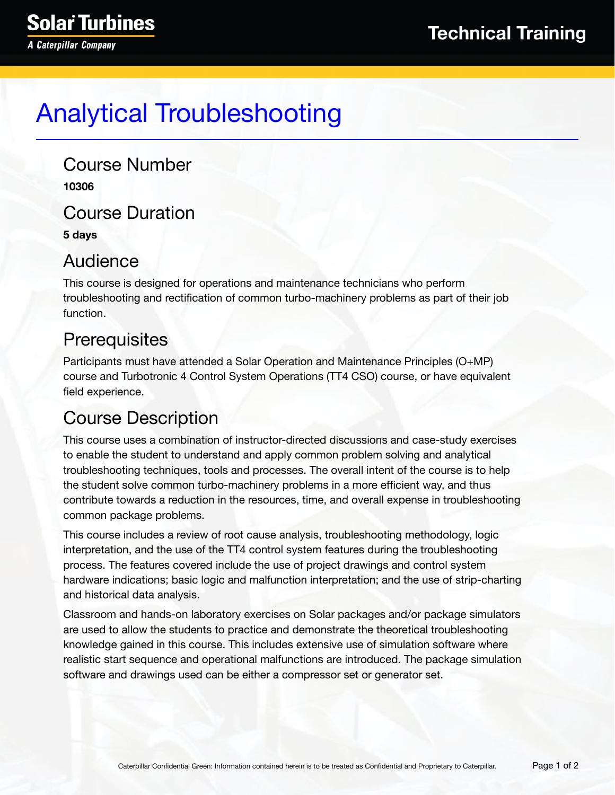# Analytical Troubleshooting

Course Number **10306** Course Duration

**5 days**

### Audience

This course is designed for operations and maintenance technicians who perform troubleshooting and rectification of common turbo-machinery problems as part of their job function.

## **Prerequisites**

Participants must have attended a Solar Operation and Maintenance Principles (O+MP) course and Turbotronic 4 Control System Operations (TT4 CSO) course, or have equivalent field experience.

## Course Description

This course uses a combination of instructor-directed discussions and case-study exercises to enable the student to understand and apply common problem solving and analytical troubleshooting techniques, tools and processes. The overall intent of the course is to help the student solve common turbo-machinery problems in a more efficient way, and thus contribute towards a reduction in the resources, time, and overall expense in troubleshooting common package problems.

This course includes a review of root cause analysis, troubleshooting methodology, logic interpretation, and the use of the TT4 control system features during the troubleshooting process. The features covered include the use of project drawings and control system hardware indications; basic logic and malfunction interpretation; and the use of strip-charting and historical data analysis.

Classroom and hands-on laboratory exercises on Solar packages and/or package simulators are used to allow the students to practice and demonstrate the theoretical troubleshooting knowledge gained in this course. This includes extensive use of simulation software where realistic start sequence and operational malfunctions are introduced. The package simulation software and drawings used can be either a compressor set or generator set.